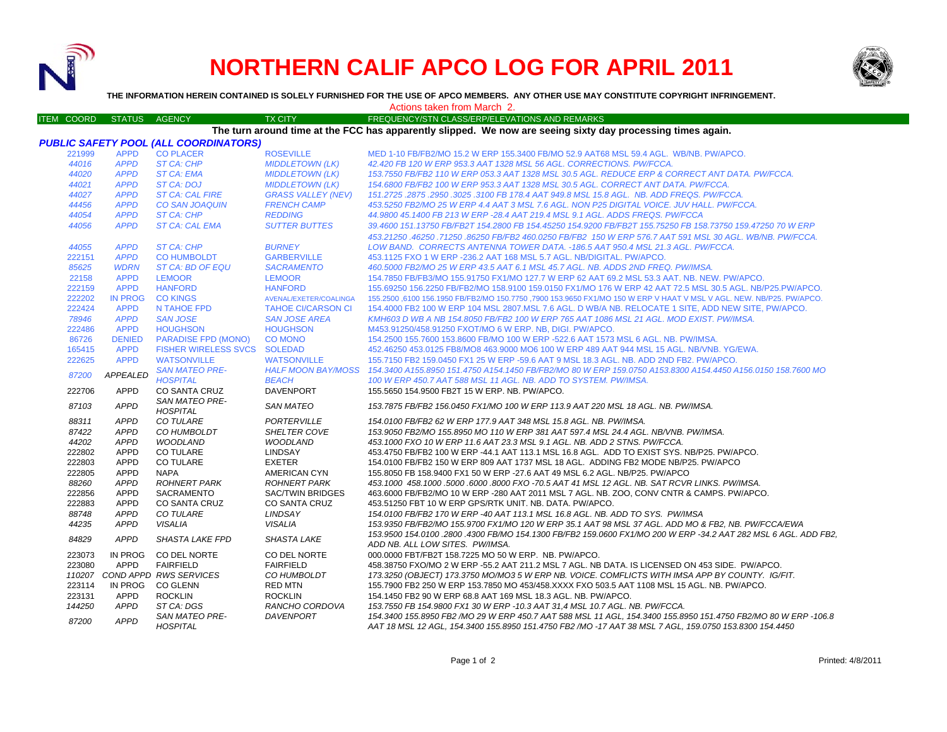

## **NORTHERN CALIF APCO LOG FOR APRIL 2011**



**THE INFORMATION HEREIN CONTAINED IS SOLELY FURNISHED FOR THE USE OF APCO MEMBERS. ANY OTHER USE MAY CONSTITUTE COPYRIGHT INFRINGEMENT.**

Actions taken from March 2.

## ITEM COORD STATUS AGENCY TX CITY TIREQUENCY/STN CLASS/ERP/ELEVATIONS AND REMARKS **The turn around time at the FCC has apparently slipped. We now are seeing sixty day processing times again.**

|        |                 | <b>PUBLIC SAFETY POOL (ALL COORDINATORS)</b> |                           |                                                                                                                                                   |
|--------|-----------------|----------------------------------------------|---------------------------|---------------------------------------------------------------------------------------------------------------------------------------------------|
| 221999 | <b>APPD</b>     | <b>CO PLACER</b>                             | <b>ROSEVILLE</b>          | MED 1-10 FB/FB2/MO 15.2 W ERP 155.3400 FB/MO 52.9 AAT68 MSL 59.4 AGL, WB/NB, PW/APCO,                                                             |
| 44016  | <b>APPD</b>     | ST CA: CHP                                   | <b>MIDDLETOWN (LK)</b>    | 42.420 FB 120 W ERP 953.3 AAT 1328 MSL 56 AGL, CORRECTIONS, PW/FCCA,                                                                              |
| 44020  | <b>APPD</b>     | <b>ST CA: EMA</b>                            | <b>MIDDLETOWN (LK)</b>    | 153.7550 FB/FB2 110 W ERP 053.3 AAT 1328 MSL 30.5 AGL, REDUCE ERP & CORRECT ANT DATA, PW/FCCA,                                                    |
| 44021  | <b>APPD</b>     | <b>ST CA: DOJ</b>                            | <b>MIDDLETOWN (LK)</b>    | 154.6800 FB/FB2 100 W ERP 953.3 AAT 1328 MSL 30.5 AGL. CORRECT ANT DATA. PW/FCCA.                                                                 |
| 44027  | <b>APPD</b>     | <b>ST CA: CAL FIRE</b>                       | <b>GRASS VALLEY (NEV)</b> | 151.2725.2875.2950.3025.3100 FB 178.4 AAT 949.8 MSL 15.8 AGL. NB. ADD FREQS. PW/FCCA.                                                             |
| 44456  | <b>APPD</b>     | <b>CO SAN JOAQUIN</b>                        | <b>FRENCH CAMP</b>        | 453.5250 FB2/MO 25 W ERP 4.4 AAT 3 MSL 7.6 AGL. NON P25 DIGITAL VOICE, JUV HALL, PW/FCCA,                                                         |
| 44054  | <b>APPD</b>     | <b>ST CA: CHP</b>                            | <b>REDDING</b>            | 44.9800 45.1400 FB 213 W ERP -28.4 AAT 219.4 MSL 9.1 AGL, ADDS FREQS, PW/FCCA                                                                     |
| 44056  | <b>APPD</b>     | <b>ST CA: CAL EMA</b>                        | <b>SUTTER BUTTES</b>      | 39.4600 151.13750 FB/FB2T 154.2800 FB 154.45250 154.9200 FB/FB2T 155.75250 FB 158.73750 159.47250 70 W ERP                                        |
|        |                 |                                              |                           | 453.21250 .46250 .71250 .86250 FB/FB2 460.0250 FB/FB2 150 W ERP 576.7 AAT 591 MSL 30 AGL. WB/NB. PW/FCCA.                                         |
| 44055  | <b>APPD</b>     | <b>ST CA: CHP</b>                            | <b>BURNEY</b>             | LOW BAND. CORRECTS ANTENNA TOWER DATA. -186.5 AAT 950.4 MSL 21.3 AGL. PW/FCCA.                                                                    |
| 222151 | <b>APPD</b>     | <b>CO HUMBOLDT</b>                           | <b>GARBERVILLE</b>        | 453.1125 FXO 1 W ERP - 236.2 AAT 168 MSL 5.7 AGL, NB/DIGITAL, PW/APCO.                                                                            |
| 85625  | <b>WDRN</b>     | ST CA: BD OF EQU                             | <b>SACRAMENTO</b>         | 460.5000 FB2/MO 25 W ERP 43.5 AAT 6.1 MSL 45.7 AGL. NB, ADDS 2ND FREQ, PW/IMSA.                                                                   |
| 22158  | <b>APPD</b>     | <b>LEMOOR</b>                                | <b>LEMOOR</b>             | 154.7850 FB/FB3/MO 155.91750 FX1/MO 127.7 W ERP 62 AAT 69.2 MSL 53.3 AAT. NB. NEW. PW/APCO.                                                       |
| 222159 | <b>APPD</b>     | <b>HANFORD</b>                               | <b>HANFORD</b>            | 155.69250 156.2250 FB/FB2/MO 158.9100 159.0150 FX1/MO 176 W ERP 42 AAT 72.5 MSL 30.5 AGL. NB/P25.PW/APCO.                                         |
| 222202 | <b>IN PROG</b>  | <b>CO KINGS</b>                              | AVENAL/EXETER/COALINGA    | 155,2500,6100 156,1950 FB/FB2/MO 150,7750 ,7900 153,9650 FX1/MO 150 W ERP V HAAT V MSL V AGL. NEW, NB/P25, PW/APCO,                               |
| 222424 | <b>APPD</b>     | N TAHOE FPD                                  | <b>TAHOE CI/CARSON CI</b> | 154.4000 FB2 100 W ERP 104 MSL 2807.MSL 7.6 AGL. D WB/A NB. RELOCATE 1 SITE, ADD NEW SITE, PW/APCO.                                               |
| 78946  | <b>APPD</b>     | <b>SAN JOSE</b>                              | <b>SAN JOSE AREA</b>      | KMH603 D WB A NB 154.8050 FB/FB2 100 W ERP 765 AAT 1086 MSL 21 AGL. MOD EXIST. PW/IMSA.                                                           |
| 222486 | <b>APPD</b>     | <b>HOUGHSON</b>                              | <b>HOUGHSON</b>           | M453.91250/458.91250 FXOT/MO 6 W ERP. NB, DIGI. PW/APCO.                                                                                          |
| 86726  | <b>DENIED</b>   | <b>PARADISE FPD (MONO)</b>                   | <b>CO MONO</b>            | 154.2500 155.7600 153.8600 FB/MO 100 W ERP -522.6 AAT 1573 MSL 6 AGL. NB. PW/IMSA.                                                                |
| 165415 | <b>APPD</b>     | FISHER WIRELESS SVCS SOLEDAD                 |                           | 452.46250 453.0125 FB8/MO8 463.9000 MO6 100 W ERP 489 AAT 944 MSL 15 AGL, NB/VNB, YG/EWA,                                                         |
| 222625 | <b>APPD</b>     | <b>WATSONVILLE</b>                           | <b>WATSONVILLE</b>        | 155.7150 FB2 159.0450 FX1 25 W ERP -59.6 AAT 9 MSL 18.3 AGL, NB, ADD 2ND FB2, PW/APCO,                                                            |
|        | <b>APPEALED</b> | <b>SAN MATEO PRE-</b>                        |                           | HALF MOON BAY/MOSS 154.3400 A155.8950 151.4750 A154.1450 FB/FB2/MO 80 W ERP 159.0750 A153.8300 A154.4450 A156.0150 158.7600 MO                    |
| 87200  |                 | <b>HOSPITAL</b>                              | <b>BEACH</b>              | 100 W ERP 450.7 AAT 588 MSL 11 AGL. NB. ADD TO SYSTEM. PW/IMSA.                                                                                   |
| 222706 | APPD            | <b>CO SANTA CRUZ</b>                         | <b>DAVENPORT</b>          | 155.5650 154.9500 FB2T 15 W ERP. NB. PW/APCO.                                                                                                     |
| 87103  | <b>APPD</b>     | <b>SAN MATEO PRE-</b><br><b>HOSPITAL</b>     | <b>SAN MATEO</b>          | 153.7875 FB/FB2 156.0450 FX1/MO 100 W ERP 113.9 AAT 220 MSL 18 AGL. NB. PW/IMSA.                                                                  |
| 88311  | <b>APPD</b>     | <b>CO TULARE</b>                             | PORTERVILLE               | 154.0100 FB/FB2 62 W ERP 177.9 AAT 348 MSL 15.8 AGL. NB. PW/IMSA.                                                                                 |
| 87422  | <b>APPD</b>     | CO HUMBOLDT                                  | <b>SHELTER COVE</b>       | 153.9050 FB2/MO 155.8950 MO 110 W ERP 381 AAT 597.4 MSL 24.4 AGL, NB/VNB, PW/IMSA,                                                                |
| 44202  | <b>APPD</b>     | <b>WOODLAND</b>                              | <b>WOODLAND</b>           | 453.1000 FXO 10 W ERP 11.6 AAT 23.3 MSL 9.1 AGL. NB. ADD 2 STNS. PW/FCCA.                                                                         |
| 222802 | <b>APPD</b>     | <b>CO TULARE</b>                             | <b>LINDSAY</b>            | 453.4750 FB/FB2 100 W ERP -44.1 AAT 113.1 MSL 16.8 AGL. ADD TO EXIST SYS. NB/P25. PW/APCO.                                                        |
| 222803 | APPD            | <b>CO TULARE</b>                             | <b>EXETER</b>             | 154,0100 FB/FB2 150 W ERP 809 AAT 1737 MSL 18 AGL. ADDING FB2 MODE NB/P25, PW/APCO                                                                |
| 222805 | APPD            | <b>NAPA</b>                                  | AMERICAN CYN              | 155,8050 FB 158,9400 FX1 50 W ERP -27.6 AAT 49 MSL 6.2 AGL, NB/P25, PW/APCO                                                                       |
| 88260  | <b>APPD</b>     | <b>ROHNERT PARK</b>                          | <b>ROHNERT PARK</b>       | 453.1000 458.1000 5000 6000 8000 FXO -70.5 AAT 41 MSL 12 AGL. NB. SAT RCVR LINKS, PW/IMSA,                                                        |
| 222856 | APPD            | <b>SACRAMENTO</b>                            | SAC/TWIN BRIDGES          | 463.6000 FB/FB2/MO 10 W ERP -280 AAT 2011 MSL 7 AGL. NB. ZOO, CONV CNTR & CAMPS. PW/APCO.                                                         |
| 222883 | <b>APPD</b>     | <b>CO SANTA CRUZ</b>                         | <b>CO SANTA CRUZ</b>      | 453.51250 FBT 10 W ERP GPS/RTK UNIT, NB, DATA, PW/APCO,                                                                                           |
| 88748  | <b>APPD</b>     | <b>CO TULARE</b>                             | LINDSAY                   | 154.0100 FB/FB2 170 W ERP -40 AAT 113.1 MSL 16.8 AGL. NB. ADD TO SYS. PW/IMSA                                                                     |
| 44235  | <b>APPD</b>     | <b>VISALIA</b>                               | <b>VISALIA</b>            | 153.9350 FB/FB2/MO 155.9700 FX1/MO 120 W ERP 35.1 AAT 98 MSL 37 AGL. ADD MO & FB2, NB. PW/FCCA/EWA                                                |
| 84829  | <b>APPD</b>     | <b>SHASTA LAKE FPD</b>                       | <b>SHASTA LAKE</b>        | 153,9500 154,0100 .2800 .4300 FB/MO 154,1300 FB/FB2 159,0600 FX1/MO 200 W ERP -34.2 AAT 282 MSL 6 AGL. ADD FB2<br>ADD NB. ALL LOW SITES. PW/IMSA. |
| 223073 | IN PROG         | CO DEL NORTE                                 | CO DEL NORTE              | 000.0000 FBT/FB2T 158.7225 MO 50 W ERP. NB. PW/APCO.                                                                                              |
| 223080 | APPD            | <b>FAIRFIELD</b>                             | <b>FAIRFIELD</b>          | 458.38750 FXO/MO 2 W ERP -55.2 AAT 211.2 MSL 7 AGL. NB DATA. IS LICENSED ON 453 SIDE. PW/APCO.                                                    |
|        |                 | 110207 COND APPD RWS SERVICES                | CO HUMBOLDT               | 173.3250 (OBJECT) 173.3750 MO/MO3 5 W ERP NB, VOICE, COMFLICTS WITH IMSA APP BY COUNTY, IG/FIT.                                                   |
| 223114 |                 | IN PROG CO GLENN                             | <b>RED MTN</b>            | 155.7900 FB2 250 W ERP 153.7850 MO 453/458.XXXX FXO 503.5 AAT 1108 MSL 15 AGL. NB. PW/APCO.                                                       |
| 223131 | APPD            | <b>ROCKLIN</b>                               | <b>ROCKLIN</b>            | 154.1450 FB2 90 W ERP 68.8 AAT 169 MSL 18.3 AGL, NB, PW/APCO,                                                                                     |
| 144250 | <b>APPD</b>     | ST CA: DGS                                   | RANCHO CORDOVA            | 153.7550 FB 154.9800 FX1 30 W ERP -10.3 AAT 31.4 MSL 10.7 AGL. NB. PW/FCCA.                                                                       |
|        |                 | SAN MATEO PRE-                               | DAVENPORT                 | 154.3400 155.8950 FB2 /MO 29 W ERP 450.7 AAT 588 MSL 11 AGL, 154.3400 155.8950 151.4750 FB2/MO 80 W ERP -106.8                                    |
| 87200  | <b>APPD</b>     | <b>HOSPITAL</b>                              |                           | AAT 18 MSL 12 AGL, 154.3400 155.8950 151.4750 FB2 /MO -17 AAT 38 MSL 7 AGL, 159.0750 153.8300 154.4450                                            |